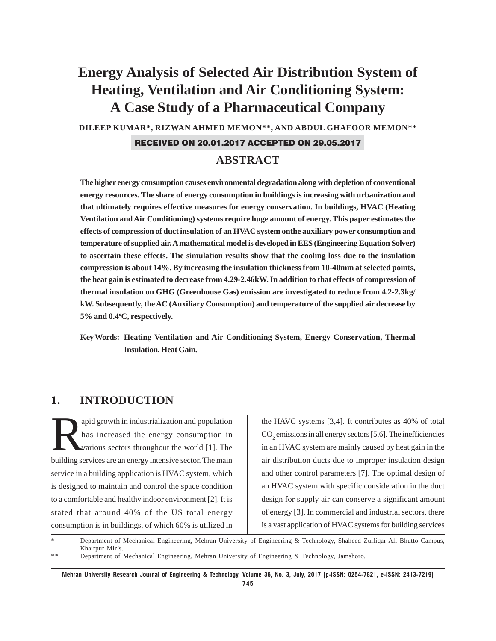# **Energy Analysis of Selected Air Distribution System of Heating, Ventilation and Air Conditioning System: A Case Study of a Pharmaceutical Company**

**DILEEP KUMAR\*, RIZWAN AHMED MEMON\*\*, AND ABDUL GHAFOOR MEMON\*\***

### RECEIVED ON 20.01.2017 ACCEPTED ON 29.05.2017

# **ABSTRACT**

**The higher energy consumption causes environmental degradation along with depletion of conventional energy resources. The share of energy consumption in buildings is increasing with urbanization and that ultimately requires effective measures for energy conservation. In buildings, HVAC (Heating Ventilation and Air Conditioning) systems require huge amount of energy. This paper estimates the effects of compression of duct insulation of an HVAC system onthe auxiliary power consumption and temperature of supplied air. A mathematical model is developed in EES (Engineering Equation Solver) to ascertain these effects. The simulation results show that the cooling loss due to the insulation compression is about 14%. By increasing the insulation thickness from 10-40mm at selected points, the heat gain is estimated to decrease from 4.29-2.46kW. In addition to that effects of compression of thermal insulation on GHG (Greenhouse Gas) emission are investigated to reduce from 4.2-2.3kg/ kW. Subsequently, the AC (Auxiliary Consumption) and temperature of the supplied air decrease by 5% and 0.4o C, respectively.**

**Key Words: Heating Ventilation and Air Conditioning System, Energy Conservation, Thermal Insulation, Heat Gain.**

# **1. INTRODUCTION**

apid growth in industrialization and population<br>has increased the energy consumption in<br>various sectors throughout the world [1]. The has increased the energy consumption in various sectors throughout the world [1]. The building services are an energy intensive sector. The main service in a building application is HVAC system, which is designed to maintain and control the space condition to a comfortable and healthy indoor environment [2]. It is stated that around 40% of the US total energy consumption is in buildings, of which 60% is utilized in

the HAVC systems [3,4]. It contributes as 40% of total  $CO<sub>2</sub>$  emissions in all energy sectors [5,6]. The inefficiencies in an HVAC system are mainly caused by heat gain in the air distribution ducts due to improper insulation design and other control parameters [7]. The optimal design of an HVAC system with specific consideration in the duct design for supply air can conserve a significant amount of energy [3]. In commercial and industrial sectors, there is a vast application of HVAC systems for building services

Department of Mechanical Engineering, Mehran University of Engineering & Technology, Shaheed Zulfiqar Ali Bhutto Campus, Khairpur Mir's.

<sup>\*\*</sup> Department of Mechanical Engineering, Mehran University of Engineering & Technology, Jamshoro.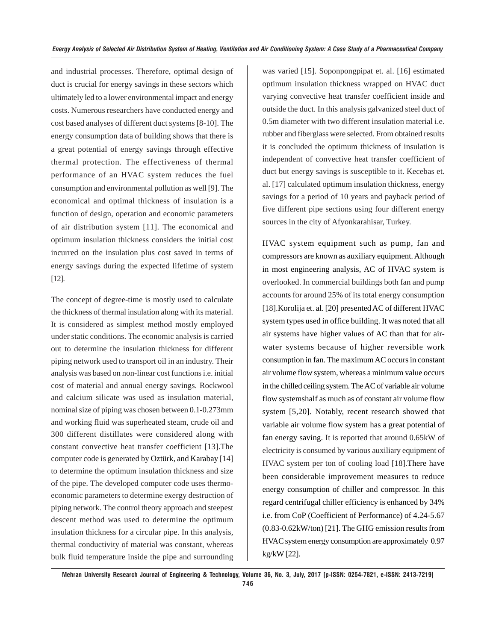and industrial processes. Therefore, optimal design of duct is crucial for energy savings in these sectors which ultimately led to a lower environmental impact and energy costs. Numerous researchers have conducted energy and cost based analyses of different duct systems [8-10]. The energy consumption data of building shows that there is a great potential of energy savings through effective thermal protection. The effectiveness of thermal performance of an HVAC system reduces the fuel consumption and environmental pollution as well [9]. The economical and optimal thickness of insulation is a function of design, operation and economic parameters of air distribution system [11]. The economical and optimum insulation thickness considers the initial cost incurred on the insulation plus cost saved in terms of energy savings during the expected lifetime of system [12].

The concept of degree-time is mostly used to calculate the thickness of thermal insulation along with its material. It is considered as simplest method mostly employed under static conditions. The economic analysis is carried out to determine the insulation thickness for different piping network used to transport oil in an industry. Their analysis was based on non-linear cost functions i.e. initial cost of material and annual energy savings. Rockwool and calcium silicate was used as insulation material, nominal size of piping was chosen between 0.1-0.273mm and working fluid was superheated steam, crude oil and 300 different distillates were considered along with constant convective heat transfer coefficient [13].The computer code is generated by Oztürk, and Karabay [14] to determine the optimum insulation thickness and size of the pipe. The developed computer code uses thermoeconomic parameters to determine exergy destruction of piping network. The control theory approach and steepest descent method was used to determine the optimum insulation thickness for a circular pipe. In this analysis, thermal conductivity of material was constant, whereas bulk fluid temperature inside the pipe and surrounding

was varied [15]. Soponpongpipat et. al. [16] estimated optimum insulation thickness wrapped on HVAC duct varying convective heat transfer coefficient inside and outside the duct. In this analysis galvanized steel duct of 0.5m diameter with two different insulation material i.e. rubber and fiberglass were selected. From obtained results it is concluded the optimum thickness of insulation is independent of convective heat transfer coefficient of duct but energy savings is susceptible to it. Kecebas et. al. [17] calculated optimum insulation thickness, energy savings for a period of 10 years and payback period of five different pipe sections using four different energy sources in the city of Afyonkarahisar, Turkey.

HVAC system equipment such as pump, fan and compressors are known as auxiliary equipment. Although in most engineering analysis, AC of HVAC system is overlooked. In commercial buildings both fan and pump accounts for around 25% of its total energy consumption [18].Korolija et. al. [20] presented AC of different HVAC system types used in office building. It was noted that all air systems have higher values of AC than that for airwater systems because of higher reversible work consumption in fan. The maximum AC occurs in constant air volume flow system, whereas a minimum value occurs in the chilled ceiling system. The AC of variable air volume flow systemshalf as much as of constant air volume flow system [5,20]. Notably, recent research showed that variable air volume flow system has a great potential of fan energy saving. It is reported that around 0.65kW of electricity is consumed by various auxiliary equipment of HVAC system per ton of cooling load [18].There have been considerable improvement measures to reduce energy consumption of chiller and compressor. In this regard centrifugal chiller efficiency is enhanced by 34% i.e. from CoP (Coefficient of Performance) of 4.24-5.67 (0.83-0.62kW/ton) [21]. The GHG emission results from HVAC system energy consumption are approximately 0.97 kg/kW [22].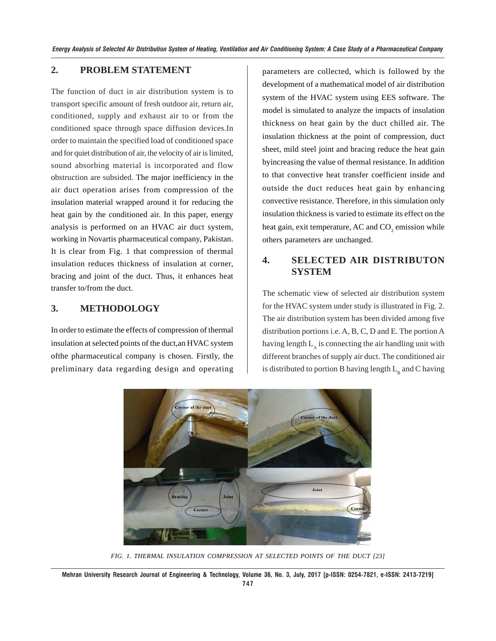### **2. PROBLEM STATEMENT**

The function of duct in air distribution system is to transport specific amount of fresh outdoor air, return air, conditioned, supply and exhaust air to or from the conditioned space through space diffusion devices.In order to maintain the specified load of conditioned space and for quiet distribution of air, the velocity of air is limited, sound absorbing material is incorporated and flow obstruction are subsided. The major inefficiency in the air duct operation arises from compression of the insulation material wrapped around it for reducing the heat gain by the conditioned air. In this paper, energy analysis is performed on an HVAC air duct system, working in Novartis pharmaceutical company, Pakistan. It is clear from Fig. 1 that compression of thermal insulation reduces thickness of insulation at corner, bracing and joint of the duct. Thus, it enhances heat transfer to/from the duct.

## **3. METHODOLOGY**

In order to estimate the effects of compression of thermal insulation at selected points of the duct,an HVAC system ofthe pharmaceutical company is chosen. Firstly, the preliminary data regarding design and operating parameters are collected, which is followed by the development of a mathematical model of air distribution system of the HVAC system using EES software. The model is simulated to analyze the impacts of insulation thickness on heat gain by the duct chilled air. The insulation thickness at the point of compression, duct sheet, mild steel joint and bracing reduce the heat gain byincreasing the value of thermal resistance. In addition to that convective heat transfer coefficient inside and outside the duct reduces heat gain by enhancing convective resistance. Therefore, in this simulation only insulation thickness is varied to estimate its effect on the heat gain, exit temperature, AC and  $\mathrm{CO}_2$  emission while others parameters are unchanged.

# **4. SELECTED AIR DISTRIBUTON SYSTEM**

The schematic view of selected air distribution system for the HVAC system under study is illustrated in Fig. 2. The air distribution system has been divided among five distribution portions i.e. A, B, C, D and E. The portion A having length  $L_{\lambda}$  is connecting the air handling unit with different branches of supply air duct. The conditioned air is distributed to portion B having length  $L_B$  and C having



*FIG. 1. THERMAL INSULATION COMPRESSION AT SELECTED POINTS OF THE DUCT [23]*

**Mehran University Research Journal of Engineering & Technology, Volume 36, No. 3, July, 2017 [p-ISSN: 0254-7821, e-ISSN: 2413-7219] 747**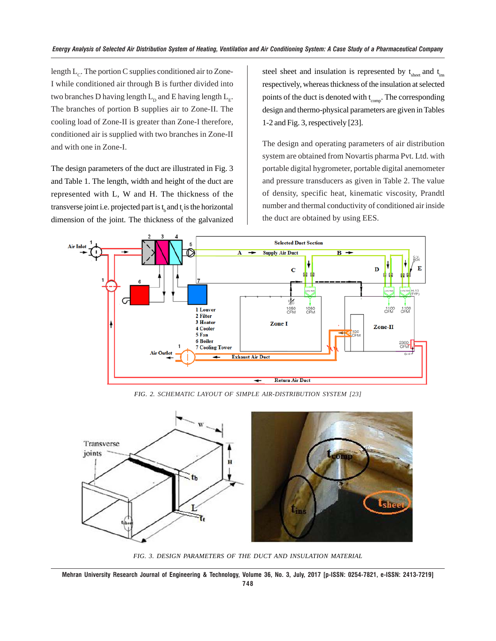length  $L_c$ . The portion C supplies conditioned air to Zone-I while conditioned air through B is further divided into two branches D having length  $L_p$  and E having length  $L_p$ . The branches of portion B supplies air to Zone-II. The cooling load of Zone-II is greater than Zone-I therefore, conditioned air is supplied with two branches in Zone-II and with one in Zone-I.

The design parameters of the duct are illustrated in Fig. 3 and Table 1. The length, width and height of the duct are represented with L, W and H. The thickness of the transverse joint i.e. projected part is  $t_{\text{s}}$  and  $t_{\text{t}}$  is the horizontal dimension of the joint. The thickness of the galvanized

steel sheet and insulation is represented by  $t_{\text{sheet}}$  and  $t_{\text{ins}}$ respectively, whereas thickness of the insulation at selected points of the duct is denoted with  $t_{comp}$ . The corresponding design and thermo-physical parameters are given in Tables 1-2 and Fig. 3, respectively [23].

The design and operating parameters of air distribution system are obtained from Novartis pharma Pvt. Ltd. with portable digital hygrometer, portable digital anemometer and pressure transducers as given in Table 2. The value of density, specific heat, kinematic viscosity, Prandtl number and thermal conductivity of conditioned air inside the duct are obtained by using EES.



*FIG. 2. SCHEMATIC LAYOUT OF SIMPLE AIR-DISTRIBUTION SYSTEM [23]*



*FIG. 3. DESIGN PARAMETERS OF THE DUCT AND INSULATION MATERIAL*

**Mehran University Research Journal of Engineering & Technology, Volume 36, No. 3, July, 2017 [p-ISSN: 0254-7821, e-ISSN: 2413-7219]**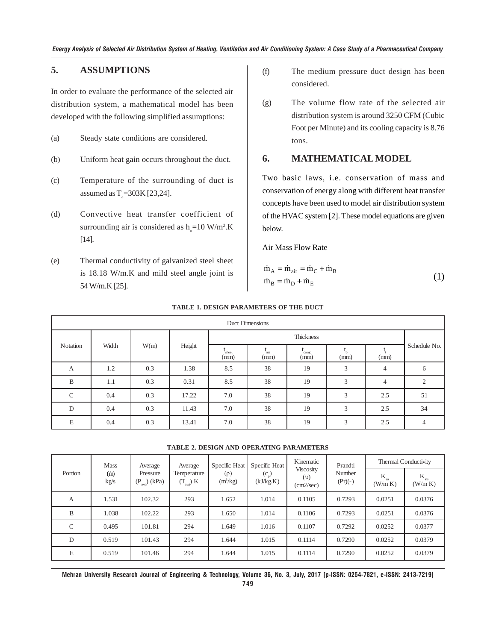### **5. ASSUMPTIONS**

In order to evaluate the performance of the selected air distribution system, a mathematical model has been developed with the following simplified assumptions:

- (a) Steady state conditions are considered.
- (b) Uniform heat gain occurs throughout the duct.
- (c) Temperature of the surrounding of duct is assumed as  $T_a = 303K [23,24]$ .
- (d) Convective heat transfer coefficient of surrounding air is considered as  $h_0$ =10 W/m<sup>2</sup>.K [14].
- (e) Thermal conductivity of galvanized steel sheet is 18.18 W/m.K and mild steel angle joint is 54 W/m.K [25].
- (f) The medium pressure duct design has been considered.
- (g) The volume flow rate of the selected air distribution system is around 3250 CFM (Cubic Foot per Minute) and its cooling capacity is 8.76 tons.

### **6. MATHEMATICAL MODEL**

Two basic laws, i.e. conservation of mass and conservation of energy along with different heat transfer concepts have been used to model air distribution system of the HVAC system [2]. These model equations are given below.

Air Mass Flow Rate

$$
\dot{m}_A = \dot{m}_{air} = \dot{m}_C + \dot{m}_B
$$
  
\n
$$
\dot{m}_B = \dot{m}_D + \dot{m}_E
$$
\n(1)

| Duct Dimensions |       |      |        |               |                        |              |      |                |                |
|-----------------|-------|------|--------|---------------|------------------------|--------------|------|----------------|----------------|
| Notation        | Width | W(m) | Height | Thickness     |                        |              |      |                |                |
|                 |       |      |        | sheet<br>(mm) | $\mathbf{m}$ s<br>(mm) | comp<br>(mm) | (mm) | (mm)           | Schedule No.   |
| A               | 1.2   | 0.3  | 1.38   | 8.5           | 38                     | 19           | 3    | $\overline{4}$ | 6              |
| B               | 1.1   | 0.3  | 0.31   | 8.5           | 38                     | 19           | 3    | $\overline{4}$ | 2              |
| $\mathsf{C}$    | 0.4   | 0.3  | 17.22  | 7.0           | 38                     | 19           | 3    | 2.5            | 51             |
| D               | 0.4   | 0.3  | 11.43  | 7.0           | 38                     | 19           | 3    | 2.5            | 34             |
| E               | 0.4   | 0.3  | 13.41  | 7.0           | 38                     | 19           | 3    | 2.5            | $\overline{4}$ |

#### **TABLE 1. DESIGN PARAMETERS OF THE DUCT**

#### **TABLE 2. DESIGN AND OPERATING PARAMETERS**

| Portion       | <b>Mass</b><br>(m)<br>kg/s | Average<br>Pressure<br>$(P_{avg})$ (kPa) | Average<br>Temperature<br>$(T_{\mathrm{avg}})$ K | Specific Heat<br>$(\rho)$<br>(m <sup>3</sup> /kg) | Specific Heat<br>$(c_{n})$<br>(kJ/kg.K) | Kinematic<br><b>Viscosity</b><br>(v)<br>(cm2/sec) | Prandtl<br>Number<br>$(Pr)(-)$ | Thermal Conductivity |                      |
|---------------|----------------------------|------------------------------------------|--------------------------------------------------|---------------------------------------------------|-----------------------------------------|---------------------------------------------------|--------------------------------|----------------------|----------------------|
|               |                            |                                          |                                                  |                                                   |                                         |                                                   |                                | $K_{sa}$<br>(W/m K)  | $K_{ins}$<br>(W/m K) |
| А             | 1.531                      | 102.32                                   | 293                                              | 1.652                                             | 1.014                                   | 0.1105                                            | 0.7293                         | 0.0251               | 0.0376               |
| B             | 1.038                      | 102.22                                   | 293                                              | 1.650                                             | 1.014                                   | 0.1106                                            | 0.7293                         | 0.0251               | 0.0376               |
| $\mathcal{C}$ | 0.495                      | 101.81                                   | 294                                              | 1.649                                             | 1.016                                   | 0.1107                                            | 0.7292                         | 0.0252               | 0.0377               |
| D             | 0.519                      | 101.43                                   | 294                                              | 1.644                                             | 1.015                                   | 0.1114                                            | 0.7290                         | 0.0252               | 0.0379               |
| E             | 0.519                      | 101.46                                   | 294                                              | 1.644                                             | 1.015                                   | 0.1114                                            | 0.7290                         | 0.0252               | 0.0379               |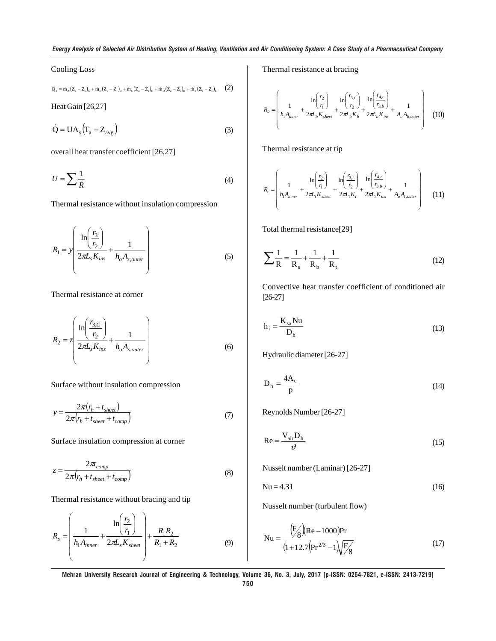#### Cooling Loss

$$
\dot{Q}_{_T} = \dot{m}_{_A}\big(Z_{_e} - Z_{_i}\big)_A + \dot{m}_{_B}\big(Z_{_e} - Z_{_i}\big)_B + \dot{m}_{_C}\big(Z_{_e} - Z_{_i}\big)_C + \dot{m}_{_D}\big(Z_{_e} - Z_{_i}\big)_D + \dot{m}_{_E}\big(Z_{_e} - Z_{_i}\big)_E \qquad \textbf{(2)}
$$

Heat Gain [26,27]

$$
\dot{Q} = UA_s \left( T_a - Z_{avg} \right) \tag{3}
$$

overall heat transfer coefficient [26,27]

$$
U = \sum \frac{1}{R} \tag{4}
$$

Thermal resistance without insulation compression

$$
R_1 = y \left( \frac{\ln \left( \frac{r_3}{r_2} \right)}{2\pi L_s K_{ins}} + \frac{1}{h_o A_{s,outer}} \right)
$$
 (5)

Thermal resistance at corner

$$
R_2 = z \left( \frac{\ln \left( \frac{r_{3,C}}{r_2} \right)}{2\pi L_s K_{ins}} + \frac{1}{h_o A_{s,outer}} \right)
$$
 (6)

Surface without insulation compression

$$
y = \frac{2\pi (r_h + t_{sheet})}{2\pi (r_h + t_{sheet} + t_{comp})}
$$
(7)

Surface insulation compression at corner

$$
z = \frac{2\pi}{2\pi (r_h + t_{sheet} + t_{comp})}
$$
 (8)

Thermal resistance without bracing and tip

$$
R_{s} = \left(\frac{1}{h_{1}A_{inner}} + \frac{\ln\left(\frac{r_{2}}{r_{1}}\right)}{2\pi L_{s}K_{sheet}}\right) + \frac{R_{1}R_{2}}{R_{1} + R_{2}}
$$
(9)

Thermal resistance at bracing

$$
R_b = \left(\frac{1}{h_1 A_{inner}} + \frac{\ln\left(\frac{r_2}{r_1}\right)}{2\pi L_b K_{sheet}} + \frac{\ln\left(\frac{r_{3,t}}{r_2}\right)}{2\pi L_b K_b} + \frac{\ln\left(\frac{r_{4,t}}{r_{3,b}}\right)}{2\pi L_b K_{ins}} + \frac{1}{A_o A_{b,outer}}\right) \tag{10}
$$

Thermal resistance at tip

$$
R_{t} = \left(\frac{1}{h_{1}A_{inner}} + \frac{\ln\left(\frac{r_{2}}{r_{1}}\right)}{2\pi L_{t}K_{sheet}} + \frac{\ln\left(\frac{r_{3,t}}{r_{2}}\right)}{2\pi L_{t}K_{t}} + \frac{\ln\left(\frac{r_{4,t}}{r_{3,b}}\right)}{2\pi L_{t}K_{ins}} + \frac{1}{A_{o}A_{t,outer}}\right) \tag{11}
$$

Total thermal resistance[29]

$$
\sum \frac{1}{R} = \frac{1}{R_s} + \frac{1}{R_b} + \frac{1}{R_t}
$$
 (12)

Convective heat transfer coefficient of conditioned air [26-27]

$$
h_i = \frac{K_{sa}Nu}{D_h}
$$
 (13)

Hydraulic diameter [26-27]

$$
D_h = \frac{4A_c}{p}
$$
 (14)

Reynolds Number [26-27]

$$
Re = \frac{V_{air}D_h}{\vartheta} \tag{15}
$$

Nusselt number (Laminar) [26-27]

$$
Nu = 4.31\tag{16}
$$

Nusselt number (turbulent flow)

$$
Nu = \frac{(F'_8)(Re - 1000)Pr}{(1 + 12.7(Pr^{2/3} - 1)\sqrt{F'_8})}
$$
(17)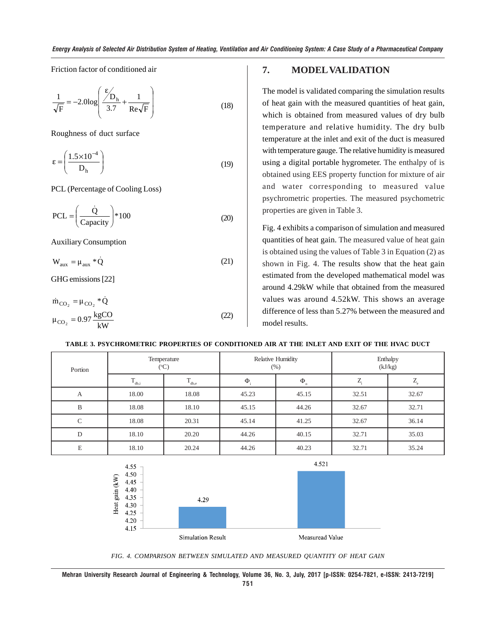Friction factor of conditioned air

$$
\frac{1}{\sqrt{F}} = -2.0 \log \left( \frac{\mathcal{E}_{D_h}}{3.7} + \frac{1}{\text{Re}\sqrt{F}} \right)
$$
(18)

Roughness of duct surface

$$
\varepsilon = \left(\frac{1.5 \times 10^{-4}}{D_h}\right) \tag{19}
$$

PCL (Percentage of Cooling Loss)

$$
PCL = \left(\frac{\dot{Q}}{\text{Capacity}}\right) * 100\tag{20}
$$

Auxiliary Consumption

 $W_{\text{aux}} = \mu_{\text{aux}} * \dot{Q}$  (21)

GHG emissions [22]

$$
\dot{m}_{CO_2} = \mu_{CO_2} * \dot{Q}
$$
  

$$
\mu_{CO_2} = 0.97 \frac{\text{kgCO}}{\text{kW}}
$$
 (22)

#### **7. MODEL VALIDATION**

The model is validated comparing the simulation results of heat gain with the measured quantities of heat gain, which is obtained from measured values of dry bulb temperature and relative humidity. The dry bulb temperature at the inlet and exit of the duct is measured with temperature gauge. The relative humidity is measured using a digital portable hygrometer. The enthalpy of is obtained using EES property function for mixture of air and water corresponding to measured value psychrometric properties. The measured psychometric properties are given in Table 3.

Fig. 4 exhibits a comparison of simulation and measured quantities of heat gain. The measured value of heat gain is obtained using the values of Table 3 in Equation (2) as shown in Fig. 4. The results show that the heat gain estimated from the developed mathematical model was around 4.29kW while that obtained from the measured values was around 4.52kW. This shows an average difference of less than 5.27% between the measured and model results.

| Portion       | $({}^{\circ}C)$ | Temperature       |        | Relative Humidity<br>$(\%)$ | Enthalpy<br>(kJ/kg) |             |  |
|---------------|-----------------|-------------------|--------|-----------------------------|---------------------|-------------|--|
|               | $T_{db,i}$      | $T_{_{\rm db,e}}$ | $\Phi$ | $\Phi$ <sub>0</sub>         | ⇁                   | $L_{\rm e}$ |  |
| А             | 18.00           | 18.08             | 45.23  | 45.15                       | 32.51               | 32.67       |  |
| B             | 18.08           | 18.10             | 45.15  | 44.26                       | 32.67               | 32.71       |  |
| $\mathcal{C}$ | 18.08           | 20.31             | 45.14  | 41.25                       | 32.67               | 36.14       |  |
| D             | 18.10           | 20.20             | 44.26  | 40.15                       | 32.71               | 35.03       |  |
| E             | 18.10           | 20.24             | 44.26  | 40.23                       | 32.71               | 35.24       |  |





*FIG. 4. COMPARISON BETWEEN SIMULATED AND MEASURED QUANTITY OF HEAT GAIN*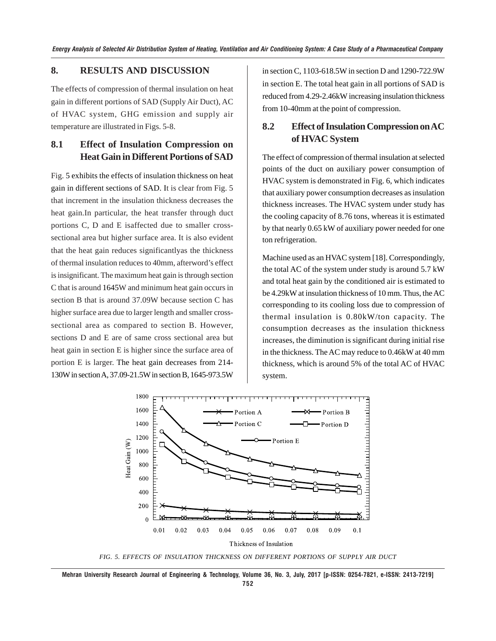#### **8. RESULTS AND DISCUSSION**

The effects of compression of thermal insulation on heat gain in different portions of SAD (Supply Air Duct), AC of HVAC system, GHG emission and supply air temperature are illustrated in Figs. 5-8.

# **8.1 Effect of Insulation Compression on Heat Gain in Different Portions of SAD**

Fig. 5 exhibits the effects of insulation thickness on heat gain in different sections of SAD. It is clear from Fig. 5 that increment in the insulation thickness decreases the heat gain.In particular, the heat transfer through duct portions C, D and E isaffected due to smaller crosssectional area but higher surface area. It is also evident that the heat gain reduces significantlyas the thickness of thermal insulation reduces to 40mm, afterword's effect is insignificant. The maximum heat gain is through section C that is around 1645W and minimum heat gain occurs in section B that is around 37.09W because section C has higher surface area due to larger length and smaller crosssectional area as compared to section B. However, sections D and E are of same cross sectional area but heat gain in section E is higher since the surface area of portion E is larger. The heat gain decreases from 214- 130W in section A, 37.09-21.5W in section B, 1645-973.5W

in section C, 1103-618.5W in section D and 1290-722.9W in section E. The total heat gain in all portions of SAD is reduced from 4.29-2.46kW increasing insulation thickness from 10-40mm at the point of compression.

# **8.2 Effect of Insulation Compression on AC of HVAC System**

The effect of compression of thermal insulation at selected points of the duct on auxiliary power consumption of HVAC system is demonstrated in Fig. 6, which indicates that auxiliary power consumption decreases as insulation thickness increases. The HVAC system under study has the cooling capacity of 8.76 tons, whereas it is estimated by that nearly 0.65 kW of auxiliary power needed for one ton refrigeration.

Machine used as an HVAC system [18]. Correspondingly, the total AC of the system under study is around 5.7 kW and total heat gain by the conditioned air is estimated to be 4.29kW at insulation thickness of 10 mm. Thus, the AC corresponding to its cooling loss due to compression of thermal insulation is 0.80kW/ton capacity. The consumption decreases as the insulation thickness increases, the diminution is significant during initial rise in the thickness. The AC may reduce to 0.46kW at 40 mm thickness, which is around 5% of the total AC of HVAC system.



*FIG. 5. EFFECTS OF INSULATION THICKNESS ON DIFFERENT PORTIONS OF SUPPLY AIR DUCT*

**Mehran University Research Journal of Engineering & Technology, Volume 36, No. 3, July, 2017 [p-ISSN: 0254-7821, e-ISSN: 2413-7219]**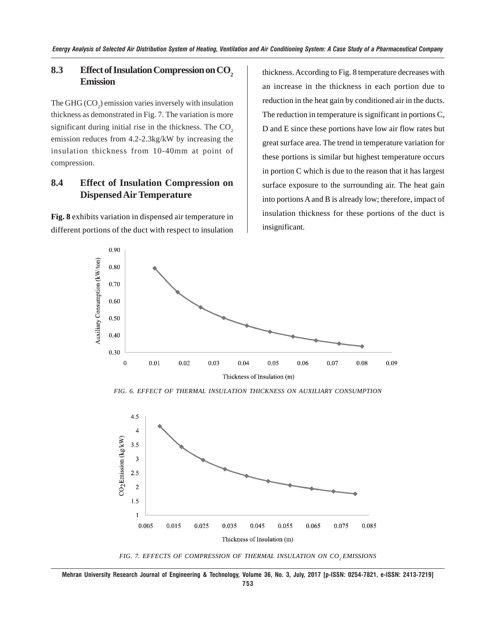### **8.3** Effect of Insulation Compression on CO<sub>2</sub> **Emission**

The GHG  $(CO_2)$  emission varies inversely with insulation thickness as demonstrated in Fig. 7. The variation is more significant during initial rise in the thickness. The  $CO<sub>2</sub>$ emission reduces from 4.2-2.3kg/kW by increasing the insulation thickness from 10-40mm at point of compression.

# **8.4 Effect of Insulation Compression on Dispensed Air Temperature**

**Fig. 8** exhibits variation in dispensed air temperature in different portions of the duct with respect to insulation thickness. According to Fig. 8 temperature decreases with an increase in the thickness in each portion due to reduction in the heat gain by conditioned air in the ducts. The reduction in temperature is significant in portions C, D and E since these portions have low air flow rates but great surface area. The trend in temperature variation for these portions is similar but highest temperature occurs in portion C which is due to the reason that it has largest surface exposure to the surrounding air. The heat gain into portions A and B is already low; therefore, impact of insulation thickness for these portions of the duct is insignificant.



*FIG. 6. EFFECT OF THERMAL INSULATION THICKNESS ON AUXILIARY CONSUMPTION*



FIG. 7. EFFECTS OF COMPRESSION OF THERMAL INSULATION ON CO<sub>2</sub> EMISSIONS

**Mehran University Research Journal of Engineering & Technology, Volume 36, No. 3, July, 2017 [p-ISSN: 0254-7821, e-ISSN: 2413-7219] 753**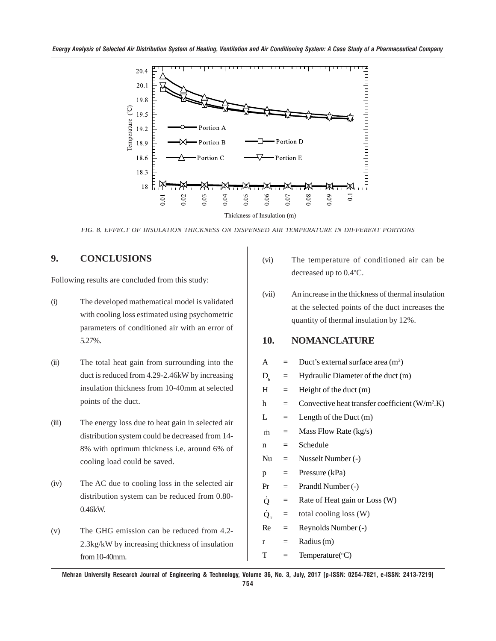

*FIG. 8. EFFECT OF INSULATION THICKNESS ON DISPENSED AIR TEMPERATURE IN DIFFERENT PORTIONS*

# **9. CONCLUSIONS**

Following results are concluded from this study:

- (i) The developed mathematical model is validated with cooling loss estimated using psychometric parameters of conditioned air with an error of 5.27%.
- (ii) The total heat gain from surrounding into the duct is reduced from 4.29-2.46kW by increasing insulation thickness from 10-40mm at selected points of the duct.
- (iii) The energy loss due to heat gain in selected air distribution system could be decreased from 14- 8% with optimum thickness i.e. around 6% of cooling load could be saved.
- (iv) The AC due to cooling loss in the selected air distribution system can be reduced from 0.80- 0.46kW.
- (v) The GHG emission can be reduced from 4.2- 2.3kg/kW by increasing thickness of insulation from 10-40mm.
- (vi) The temperature of conditioned air can be decreased up to 0.4°C.
- (vii) An increase in the thickness of thermal insulation at the selected points of the duct increases the quantity of thermal insulation by 12%.

### **10. NOMANCLATURE**

| A                |     | Duct's external surface area $(m2)$              |
|------------------|-----|--------------------------------------------------|
| $\rm D_{_h}$     | $=$ | Hydraulic Diameter of the duct (m)               |
| H                | $=$ | Height of the duct $(m)$                         |
| h                | $=$ | Convective heat transfer coefficient $(W/m^2.K)$ |
| L                | $=$ | Length of the Duct $(m)$                         |
| $\dot{m}$        | $=$ | Mass Flow Rate $(kg/s)$                          |
| n                | $=$ | Schedule                                         |
| Nu               | $=$ | Nusselt Number (-)                               |
| p                | $=$ | Pressure (kPa)                                   |
| Pr               | $=$ | Prandtl Number (-)                               |
| Q                | $=$ | Rate of Heat gain or Loss (W)                    |
| $\dot{Q}_{\tau}$ | $=$ | total cooling loss (W)                           |
| Re               | $=$ | Reynolds Number (-)                              |
| r                | $=$ | Radius (m)                                       |
| T                | $=$ | Temperature( ${}^{\circ}C$ )                     |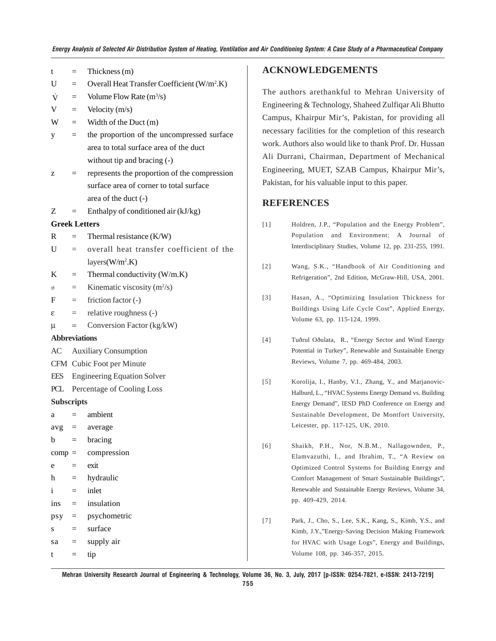| t                    | $=$                          | Thickness (m)                                           |  |  |  |  |  |  |
|----------------------|------------------------------|---------------------------------------------------------|--|--|--|--|--|--|
| U                    | $=$                          | Overall Heat Transfer Coefficient (W/m <sup>2</sup> .K) |  |  |  |  |  |  |
| $\dot{V}$            | $=$                          | Volume Flow Rate $(m^3/s)$                              |  |  |  |  |  |  |
| V                    | $=$                          | Velocity (m/s)                                          |  |  |  |  |  |  |
| W                    | $=$                          | Width of the Duct $(m)$                                 |  |  |  |  |  |  |
| у                    | $=$                          | the proportion of the uncompressed surface              |  |  |  |  |  |  |
|                      |                              | area to total surface area of the duct                  |  |  |  |  |  |  |
|                      |                              | without tip and bracing $(-)$                           |  |  |  |  |  |  |
| z                    | $=$                          | represents the proportion of the compression            |  |  |  |  |  |  |
|                      |                              | surface area of corner to total surface                 |  |  |  |  |  |  |
|                      |                              | area of the duct $(-)$                                  |  |  |  |  |  |  |
| Ζ                    | $=$                          | Enthalpy of conditioned air (kJ/kg)                     |  |  |  |  |  |  |
| <b>Greek Letters</b> |                              |                                                         |  |  |  |  |  |  |
| R                    | $=$                          | Thermal resistance (K/W)                                |  |  |  |  |  |  |
| U                    | $=$                          | overall heat transfer coefficient of the                |  |  |  |  |  |  |
|                      |                              | layers(W/m <sup>2</sup> .K)                             |  |  |  |  |  |  |
| K                    | $=$                          | Thermal conductivity (W/m.K)                            |  |  |  |  |  |  |
| $\vartheta$          | $=$                          | Kinematic viscosity $(m^2/s)$                           |  |  |  |  |  |  |
| F                    | $=$                          | friction factor $(-)$                                   |  |  |  |  |  |  |
| ε                    | $\equiv$                     | relative roughness (-)                                  |  |  |  |  |  |  |
| μ                    | $=$                          | Conversion Factor (kg/kW)                               |  |  |  |  |  |  |
| <b>Abbreviations</b> |                              |                                                         |  |  |  |  |  |  |
| AC                   | <b>Auxiliary Consumption</b> |                                                         |  |  |  |  |  |  |
|                      | CFM Cubic Foot per Minute    |                                                         |  |  |  |  |  |  |
| EES                  |                              | <b>Engineering Equation Solver</b>                      |  |  |  |  |  |  |
| PCL                  | Percentage of Cooling Loss   |                                                         |  |  |  |  |  |  |
| <b>Subscripts</b>    |                              |                                                         |  |  |  |  |  |  |
| а                    |                              | ambient                                                 |  |  |  |  |  |  |
| $avg =$              |                              | average                                                 |  |  |  |  |  |  |
| b                    | $=$                          | bracing                                                 |  |  |  |  |  |  |
| $comp =$             |                              | compression                                             |  |  |  |  |  |  |
| e                    | $=$                          | exit                                                    |  |  |  |  |  |  |
| h                    | $=$                          | hydraulic                                               |  |  |  |  |  |  |
| i                    | $=$                          | inlet                                                   |  |  |  |  |  |  |
| $ins =$              |                              | insulation                                              |  |  |  |  |  |  |
| $psy =$              |                              | psychometric                                            |  |  |  |  |  |  |
| S                    | $=$                          | surface                                                 |  |  |  |  |  |  |
| sa                   | $=$                          | supply air                                              |  |  |  |  |  |  |

 $t = tip$ 

#### **ACKNOWLEDGEMENTS**

The authors arethankful to Mehran University of Engineering & Technology, Shaheed Zulfiqar Ali Bhutto Campus, Khairpur Mir's, Pakistan, for providing all necessary facilities for the completion of this research work. Authors also would like to thank Prof. Dr. Hussan Ali Durrani, Chairman, Department of Mechanical Engineering, MUET, SZAB Campus, Khairpur Mir's, Pakistan, for his valuable input to this paper.

### **REFERENCES**

- [1] Holdren, J.P., "Population and the Energy Problem", Population and Environment: A Journal of Interdisciplinary Studies, Volume 12, pp. 231-255, 1991.
- [2] Wang, S.K., "Handbook of Air Conditioning and Refrigeration", 2nd Edition, McGraw-Hill, USA, 2001.
- [3] Hasan, A., "Optimizing Insulation Thickness for Buildings Using Life Cycle Cost", Applied Energy, Volume 63, pp. 115-124, 1999.
- [4] Tuðrul Oðulata, R., "Energy Sector and Wind Energy Potential in Turkey", Renewable and Sustainable Energy Reviews, Volume 7, pp. 469-484, 2003.
- [5] Korolija, I., Hanby, V.I., Zhang, Y., and Marjanovic-Halburd, L., "HVAC Systems Energy Demand vs. Building Energy Demand", IESD PhD Conference on Energy and Sustainable Development, De Montfort University, Leicester, pp. 117-125, UK, 2010.
- [6] Shaikh, P.H., Nor, N.B.M., Nallagownden, P., Elamvazuthi, I., and Ibrahim, T., "A Review on Optimized Control Systems for Building Energy and Comfort Management of Smart Sustainable Buildings", Renewable and Sustainable Energy Reviews, Volume 34, pp. 409-429, 2014.
- [7] Park, J., Cho, S., Lee, S.K., Kang, S., Kimb, Y.S., and Kimb, J.Y.,"Energy-Saving Decision Making Framework for HVAC with Usage Logs", Energy and Buildings, Volume 108, pp. 346-357, 2015.